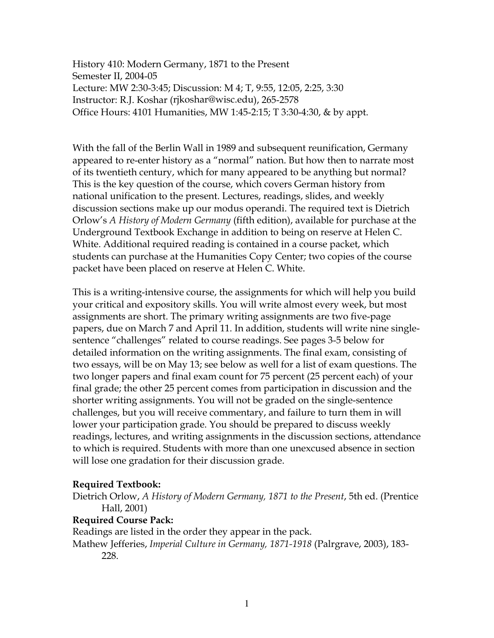History 410: Modern Germany, 1871 to the Present Semester II, 2004-05 Lecture: MW 2:30-3:45; Discussion: M 4; T, 9:55, 12:05, 2:25, 3:30 Instructor: R.J. Koshar (rjkoshar@wisc.edu), 265-2578 Office Hours: 4101 Humanities, MW 1:45-2:15; T 3:30-4:30, & by appt.

With the fall of the Berlin Wall in 1989 and subsequent reunification, Germany appeared to re-enter history as a "normal" nation. But how then to narrate most of its twentieth century, which for many appeared to be anything but normal? This is the key question of the course, which covers German history from national unification to the present. Lectures, readings, slides, and weekly discussion sections make up our modus operandi. The required text is Dietrich Orlow's *A History of Modern Germany* (fifth edition), available for purchase at the Underground Textbook Exchange in addition to being on reserve at Helen C. White. Additional required reading is contained in a course packet, which students can purchase at the Humanities Copy Center; two copies of the course packet have been placed on reserve at Helen C. White.

This is a writing-intensive course, the assignments for which will help you build your critical and expository skills. You will write almost every week, but most assignments are short. The primary writing assignments are two five-page papers, due on March 7 and April 11. In addition, students will write nine singlesentence "challenges" related to course readings. See pages 3-5 below for detailed information on the writing assignments. The final exam, consisting of two essays, will be on May 13; see below as well for a list of exam questions. The two longer papers and final exam count for 75 percent (25 percent each) of your final grade; the other 25 percent comes from participation in discussion and the shorter writing assignments. You will not be graded on the single-sentence challenges, but you will receive commentary, and failure to turn them in will lower your participation grade. You should be prepared to discuss weekly readings, lectures, and writing assignments in the discussion sections, attendance to which is required. Students with more than one unexcused absence in section will lose one gradation for their discussion grade.

## **Required Textbook:**

Dietrich Orlow, *A History of Modern Germany, 1871 to the Present*, 5th ed. (Prentice Hall, 2001)

## **Required Course Pack:**

Readings are listed in the order they appear in the pack. Mathew Jefferies, *Imperial Culture in Germany, 1871-1918* (Palrgrave, 2003), 183-

228.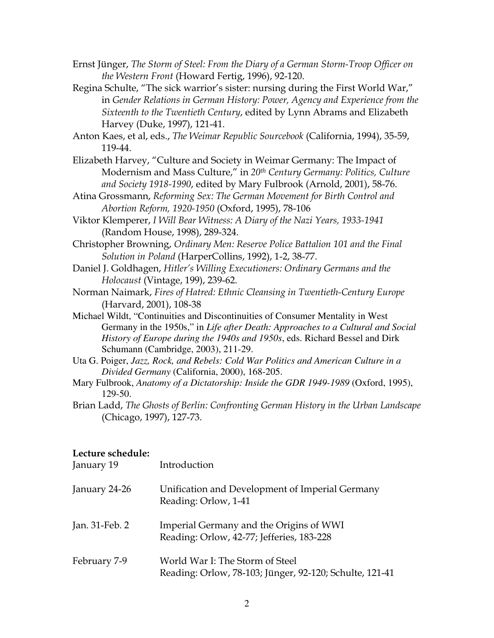- Ernst Jünger, *The Storm of Steel: From the Diary of a German Storm-Troop Officer on the Western Front* (Howard Fertig, 1996), 92-120.
- Regina Schulte, "The sick warrior's sister: nursing during the First World War," in *Gender Relations in German History: Power, Agency and Experience from the Sixteenth to the Twentieth Century*, edited by Lynn Abrams and Elizabeth Harvey (Duke, 1997), 121-41.

Anton Kaes, et al, eds., *The Weimar Republic Sourcebook* (California, 1994), 35-59, 119-44.

- Elizabeth Harvey, "Culture and Society in Weimar Germany: The Impact of Modernism and Mass Culture," in *20th Century Germany: Politics, Culture and Society 1918-1990*, edited by Mary Fulbrook (Arnold, 2001), 58-76.
- Atina Grossmann, *Reforming Sex: The German Movement for Birth Control and Abortion Reform, 1920-1950* (Oxford, 1995), 78-106
- Viktor Klemperer, *I Will Bear Witness: A Diary of the Nazi Years, 1933-1941* (Random House, 1998), 289-324.
- Christopher Browning, *Ordinary Men: Reserve Police Battalion 101 and the Final Solution in Poland* (HarperCollins, 1992), 1-2, 38-77.
- Daniel J. Goldhagen, *Hitler's Willing Executioners: Ordinary Germans and the Holocaust* (Vintage, 199), 239-62.
- Norman Naimark, *Fires of Hatred: Ethnic Cleansing in Twentieth-Century Europe* (Harvard, 2001), 108-38
- Michael Wildt, "Continuities and Discontinuities of Consumer Mentality in West Germany in the 1950s," in *Life after Death: Approaches to a Cultural and Social History of Europe during the 1940s and 1950s*, eds. Richard Bessel and Dirk Schumann (Cambridge, 2003), 211-29.
- Uta G. Poiger, *Jazz, Rock, and Rebels: Cold War Politics and American Culture in a Divided Germany* (California, 2000), 168-205.
- Mary Fulbrook, *Anatomy of a Dictatorship: Inside the GDR 1949-1989* (Oxford, 1995), 129-50.
- Brian Ladd, *The Ghosts of Berlin: Confronting German History in the Urban Landscape* (Chicago, 1997), 127-73.

## **Lecture schedule:**

January 19 Introduction

| $\frac{1}{2}$  |                                                                                            |
|----------------|--------------------------------------------------------------------------------------------|
| January 24-26  | Unification and Development of Imperial Germany<br>Reading: Orlow, 1-41                    |
| Jan. 31-Feb. 2 | Imperial Germany and the Origins of WWI<br>Reading: Orlow, 42-77; Jefferies, 183-228       |
| February 7-9   | World War I: The Storm of Steel<br>Reading: Orlow, 78-103; Jünger, 92-120; Schulte, 121-41 |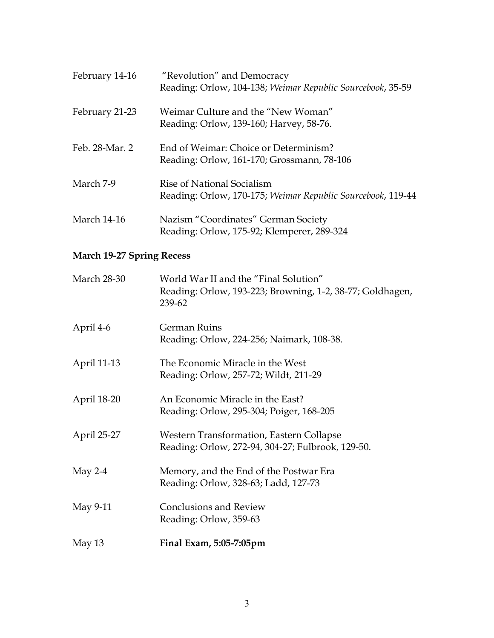| February 14-16     | "Revolution" and Democracy<br>Reading: Orlow, 104-138; Weimar Republic Sourcebook, 35-59  |
|--------------------|-------------------------------------------------------------------------------------------|
| February 21-23     | Weimar Culture and the "New Woman"<br>Reading: Orlow, 139-160; Harvey, 58-76.             |
| Feb. 28-Mar. 2     | End of Weimar: Choice or Determinism?<br>Reading: Orlow, 161-170; Grossmann, 78-106       |
| March 7-9          | Rise of National Socialism<br>Reading: Orlow, 170-175; Weimar Republic Sourcebook, 119-44 |
| <b>March 14-16</b> | Nazism "Coordinates" German Society<br>Reading: Orlow, 175-92; Klemperer, 289-324         |

# **March 19-27 Spring Recess**

| <b>March 28-30</b> | World War II and the "Final Solution"<br>Reading: Orlow, 193-223; Browning, 1-2, 38-77; Goldhagen,<br>239-62 |
|--------------------|--------------------------------------------------------------------------------------------------------------|
| April 4-6          | <b>German Ruins</b><br>Reading: Orlow, 224-256; Naimark, 108-38.                                             |
| April 11-13        | The Economic Miracle in the West<br>Reading: Orlow, 257-72; Wildt, 211-29                                    |
| April 18-20        | An Economic Miracle in the East?<br>Reading: Orlow, 295-304; Poiger, 168-205                                 |
| April 25-27        | Western Transformation, Eastern Collapse<br>Reading: Orlow, 272-94, 304-27; Fulbrook, 129-50.                |
| May $2-4$          | Memory, and the End of the Postwar Era<br>Reading: Orlow, 328-63; Ladd, 127-73                               |
| May 9-11           | <b>Conclusions and Review</b><br>Reading: Orlow, 359-63                                                      |
| May 13             | Final Exam, 5:05-7:05pm                                                                                      |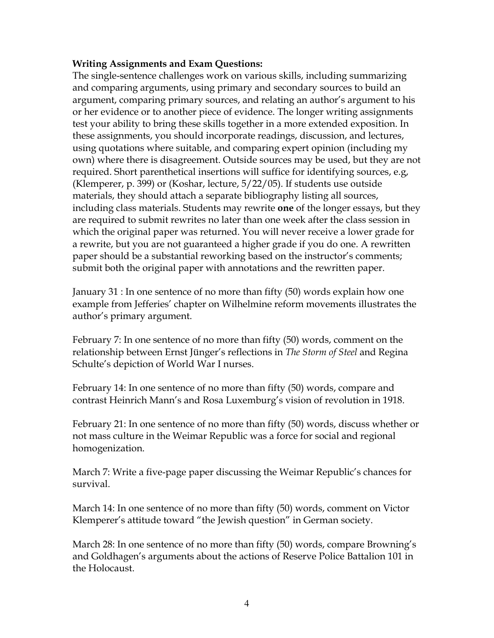## **Writing Assignments and Exam Questions:**

The single-sentence challenges work on various skills, including summarizing and comparing arguments, using primary and secondary sources to build an argument, comparing primary sources, and relating an author's argument to his or her evidence or to another piece of evidence. The longer writing assignments test your ability to bring these skills together in a more extended exposition. In these assignments, you should incorporate readings, discussion, and lectures, using quotations where suitable, and comparing expert opinion (including my own) where there is disagreement. Outside sources may be used, but they are not required. Short parenthetical insertions will suffice for identifying sources, e.g, (Klemperer, p. 399) or (Koshar, lecture, 5/22/05). If students use outside materials, they should attach a separate bibliography listing all sources, including class materials. Students may rewrite **one** of the longer essays, but they are required to submit rewrites no later than one week after the class session in which the original paper was returned. You will never receive a lower grade for a rewrite, but you are not guaranteed a higher grade if you do one. A rewritten paper should be a substantial reworking based on the instructor's comments; submit both the original paper with annotations and the rewritten paper.

January 31 : In one sentence of no more than fifty (50) words explain how one example from Jefferies' chapter on Wilhelmine reform movements illustrates the author's primary argument.

February 7: In one sentence of no more than fifty (50) words, comment on the relationship between Ernst Jünger's reflections in *The Storm of Steel* and Regina Schulte's depiction of World War I nurses.

February 14: In one sentence of no more than fifty (50) words, compare and contrast Heinrich Mann's and Rosa Luxemburg's vision of revolution in 1918.

February 21: In one sentence of no more than fifty (50) words, discuss whether or not mass culture in the Weimar Republic was a force for social and regional homogenization.

March 7: Write a five-page paper discussing the Weimar Republic's chances for survival.

March 14: In one sentence of no more than fifty (50) words, comment on Victor Klemperer's attitude toward "the Jewish question" in German society.

March 28: In one sentence of no more than fifty (50) words, compare Browning's and Goldhagen's arguments about the actions of Reserve Police Battalion 101 in the Holocaust.